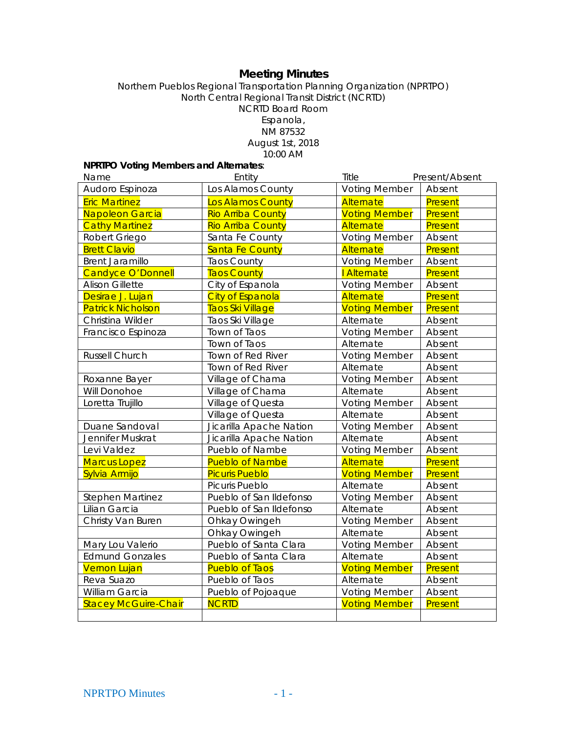# **Meeting Minutes**

#### Northern Pueblos Regional Transportation Planning Organization (NPRTPO) North Central Regional Transit District (NCRTD) NCRTD Board Room Espanola, NM 87532 August 1st, 2018 10:00 AM

# **NPRTPO Voting Members and Alternates**:

| Name                        | Entity                   | Title                | Present/Absent |
|-----------------------------|--------------------------|----------------------|----------------|
| Audoro Espinoza             | Los Alamos County        | <b>Voting Member</b> | Absent         |
| <b>Eric Martinez</b>        | Los Alamos County        | Alternate            | Present        |
| Napoleon Garcia             | <b>Rio Arriba County</b> | <b>Voting Member</b> | Present        |
| <b>Cathy Martinez</b>       | <b>Rio Arriba County</b> | Alternate            | Present        |
| Robert Griego               | Santa Fe County          | <b>Voting Member</b> | Absent         |
| <b>Brett Clavio</b>         | <b>Santa Fe County</b>   | Alternate            | Present        |
| <b>Brent Jaramillo</b>      | <b>Taos County</b>       | <b>Voting Member</b> | Absent         |
| <b>Candyce O'Donnell</b>    | <b>Taos County</b>       | I Alternate          | Present        |
| <b>Alison Gillette</b>      | City of Espanola         | <b>Voting Member</b> | Absent         |
| Desirae J. Lujan            | <b>City of Espanola</b>  | Alternate            | Present        |
| <b>Patrick Nicholson</b>    | Taos Ski Village         | <b>Voting Member</b> | Present        |
| Christina Wilder            | Taos Ski Village         | Alternate            | Absent         |
| Francisco Espinoza          | Town of Taos             | <b>Voting Member</b> | Absent         |
|                             | Town of Taos             | Alternate            | Absent         |
| <b>Russell Church</b>       | Town of Red River        | <b>Voting Member</b> | Absent         |
|                             | Town of Red River        | Alternate            | Absent         |
| Roxanne Bayer               | Village of Chama         | <b>Voting Member</b> | Absent         |
| Will Donohoe                | Village of Chama         | Alternate            | Absent         |
| Loretta Trujillo            | Village of Questa        | <b>Voting Member</b> | Absent         |
|                             | Village of Questa        | Alternate            | Absent         |
| Duane Sandoval              | Jicarilla Apache Nation  | <b>Voting Member</b> | Absent         |
| Jennifer Muskrat            | Jicarilla Apache Nation  | Alternate            | Absent         |
| Levi Valdez                 | Pueblo of Nambe          | <b>Voting Member</b> | Absent         |
| <b>Marcus Lopez</b>         | <b>Pueblo of Nambe</b>   | Alternate            | Present        |
| Sylvia Armijo               | <b>Picuris Pueblo</b>    | <b>Voting Member</b> | Present        |
|                             | Picuris Pueblo           | Alternate            | Absent         |
| <b>Stephen Martinez</b>     | Pueblo of San Ildefonso  | <b>Voting Member</b> | Absent         |
| Lilian Garcia               | Pueblo of San Ildefonso  | Alternate            | Absent         |
| Christy Van Buren           | Ohkay Owingeh            | <b>Voting Member</b> | Absent         |
|                             | Ohkay Owingeh            | Alternate            | Absent         |
| Mary Lou Valerio            | Pueblo of Santa Clara    | <b>Voting Member</b> | Absent         |
| <b>Edmund Gonzales</b>      | Pueblo of Santa Clara    | Alternate            | Absent         |
| <b>Vernon Lujan</b>         | <b>Pueblo of Taos</b>    | <b>Voting Member</b> | Present        |
| Reva Suazo                  | Pueblo of Taos           | Alternate            | Absent         |
| William Garcia              | Pueblo of Pojoaque       | <b>Voting Member</b> | Absent         |
| <b>Stacey McGuire-Chair</b> | <b>NCRTD</b>             | <b>Voting Member</b> | Present        |
|                             |                          |                      |                |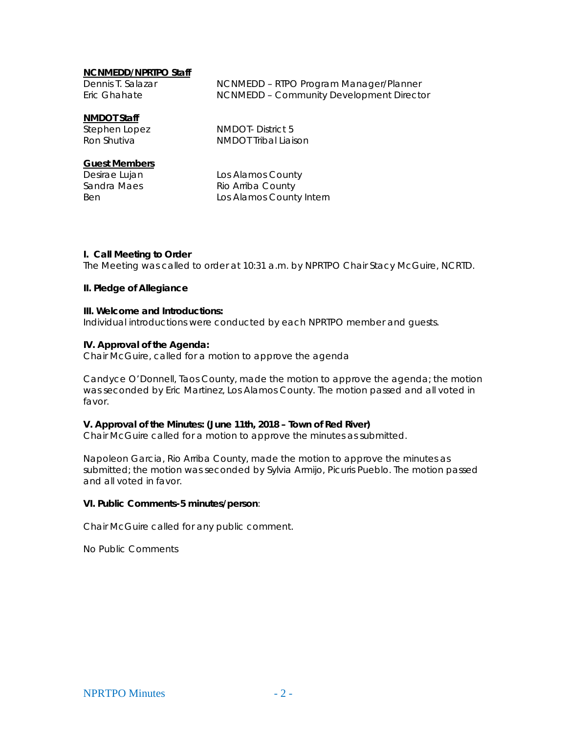#### **NCNMEDD/NPRTPO Staff**

| Dennis T. Salazar | NCNMEDD - RTPO Program Manager/Planner   |
|-------------------|------------------------------------------|
| Eric Ghahate      | NCNMEDD - Community Development Director |

#### **NMDOT Staff**

Stephen Lopez NMDOT- District 5 Ron Shutiva NMDOT Tribal Liaison

#### **Guest Members**

Desirae Lujan Los Alamos County Sandra Maes Rio Arriba County Ben **Los Alamos County Intern** 

#### **I. Call Meeting to Order**

The Meeting was called to order at 10:31 a.m. by NPRTPO Chair Stacy McGuire, NCRTD.

#### **II. Pledge of Allegiance**

#### **III. Welcome and Introductions:**

Individual introductions were conducted by each NPRTPO member and guests.

#### **IV. Approval of the Agenda:**

Chair McGuire, called for a motion to approve the agenda

Candyce O'Donnell, Taos County, made the motion to approve the agenda; the motion was seconded by Eric Martinez, Los Alamos County. The motion passed and all voted in favor.

#### **V. Approval of the Minutes: (June 11th, 2018 – Town of Red River)**

Chair McGuire called for a motion to approve the minutes as submitted.

Napoleon Garcia, Rio Arriba County, made the motion to approve the minutes as submitted; the motion was seconded by Sylvia Armijo, Picuris Pueblo. The motion passed and all voted in favor.

#### **VI. Public Comments-5 minutes/person**:

Chair McGuire called for any public comment.

No Public Comments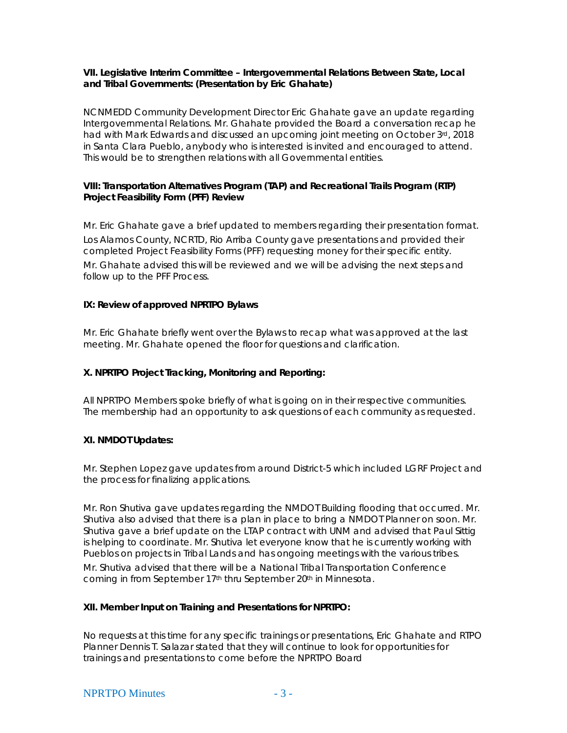### **VII. Legislative Interim Committee – Intergovernmental Relations Between State, Local and Tribal Governments: (Presentation by Eric Ghahate)**

NCNMEDD Community Development Director Eric Ghahate gave an update regarding Intergovernmental Relations. Mr. Ghahate provided the Board a conversation recap he had with Mark Edwards and discussed an upcoming joint meeting on October 3rd, 2018 in Santa Clara Pueblo, anybody who is interested is invited and encouraged to attend. This would be to strengthen relations with all Governmental entities.

## **VIII: Transportation Alternatives Program (TAP) and Recreational Trails Program (RTP) Project Feasibility Form (PFF) Review**

Mr. Eric Ghahate gave a brief updated to members regarding their presentation format. Los Alamos County, NCRTD, Rio Arriba County gave presentations and provided their completed Project Feasibility Forms (PFF) requesting money for their specific entity.

Mr. Ghahate advised this will be reviewed and we will be advising the next steps and follow up to the PFF Process.

### **IX: Review of approved NPRTPO Bylaws**

Mr. Eric Ghahate briefly went over the Bylaws to recap what was approved at the last meeting. Mr. Ghahate opened the floor for questions and clarification.

# **X. NPRTPO Project Tracking, Monitoring and Reporting:**

All NPRTPO Members spoke briefly of what is going on in their respective communities. The membership had an opportunity to ask questions of each community as requested.

# **XI. NMDOT Updates:**

Mr. Stephen Lopez gave updates from around District-5 which included LGRF Project and the process for finalizing applications.

Mr. Ron Shutiva gave updates regarding the NMDOT Building flooding that occurred. Mr. Shutiva also advised that there is a plan in place to bring a NMDOT Planner on soon. Mr. Shutiva gave a brief update on the LTAP contract with UNM and advised that Paul Sittig is helping to coordinate. Mr. Shutiva let everyone know that he is currently working with Pueblos on projects in Tribal Lands and has ongoing meetings with the various tribes.

Mr. Shutiva advised that there will be a National Tribal Transportation Conference coming in from September 17<sup>th</sup> thru September 20<sup>th</sup> in Minnesota.

### **XII. Member Input on Training and Presentations for NPRTPO:**

No requests at this time for any specific trainings or presentations, Eric Ghahate and RTPO Planner Dennis T. Salazar stated that they will continue to look for opportunities for trainings and presentations to come before the NPRTPO Board